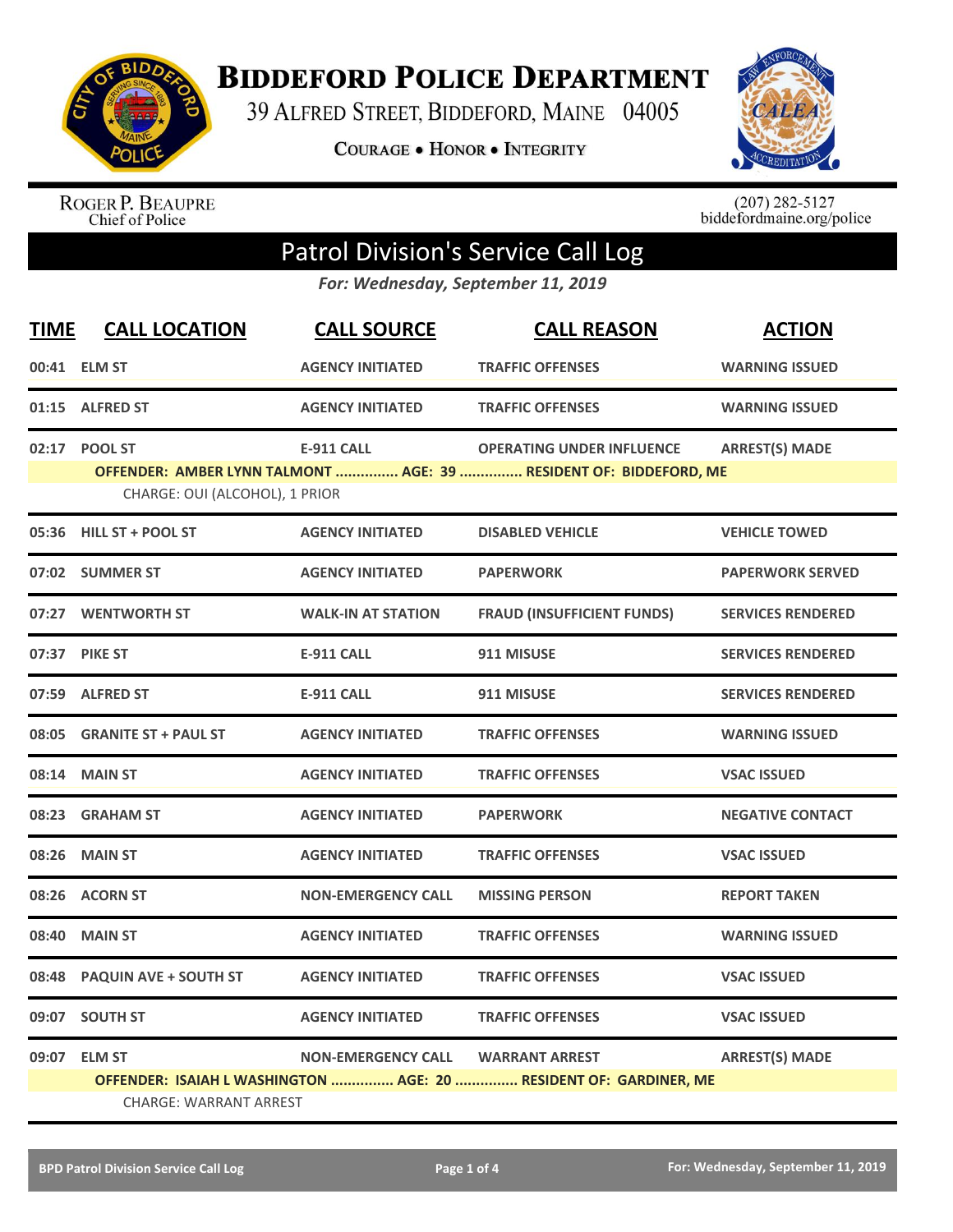

**BIDDEFORD POLICE DEPARTMENT** 

39 ALFRED STREET, BIDDEFORD, MAINE 04005

**COURAGE . HONOR . INTEGRITY** 



ROGER P. BEAUPRE<br>Chief of Police

 $(207)$  282-5127<br>biddefordmaine.org/police

## Patrol Division's Service Call Log

*For: Wednesday, September 11, 2019*

| <b>TIME</b> | <b>CALL LOCATION</b>           | <b>CALL SOURCE</b>        | <b>CALL REASON</b>                                                | <b>ACTION</b>            |  |
|-------------|--------------------------------|---------------------------|-------------------------------------------------------------------|--------------------------|--|
|             | 00:41 ELM ST                   | <b>AGENCY INITIATED</b>   | <b>TRAFFIC OFFENSES</b>                                           | <b>WARNING ISSUED</b>    |  |
|             | 01:15 ALFRED ST                | <b>AGENCY INITIATED</b>   | <b>TRAFFIC OFFENSES</b>                                           | <b>WARNING ISSUED</b>    |  |
|             | 02:17 POOL ST                  | <b>E-911 CALL</b>         | <b>OPERATING UNDER INFLUENCE</b>                                  | <b>ARREST(S) MADE</b>    |  |
|             | CHARGE: OUI (ALCOHOL), 1 PRIOR |                           | OFFENDER: AMBER LYNN TALMONT  AGE: 39  RESIDENT OF: BIDDEFORD, ME |                          |  |
|             | 05:36 HILL ST + POOL ST        | <b>AGENCY INITIATED</b>   | <b>DISABLED VEHICLE</b>                                           | <b>VEHICLE TOWED</b>     |  |
|             | 07:02 SUMMER ST                | <b>AGENCY INITIATED</b>   | <b>PAPERWORK</b>                                                  | <b>PAPERWORK SERVED</b>  |  |
|             | 07:27 WENTWORTH ST             | <b>WALK-IN AT STATION</b> | <b>FRAUD (INSUFFICIENT FUNDS)</b>                                 | <b>SERVICES RENDERED</b> |  |
|             | 07:37 PIKE ST                  | <b>E-911 CALL</b>         | 911 MISUSE                                                        | <b>SERVICES RENDERED</b> |  |
|             | 07:59 ALFRED ST                | <b>E-911 CALL</b>         | 911 MISUSE                                                        | <b>SERVICES RENDERED</b> |  |
|             | 08:05 GRANITE ST + PAUL ST     | <b>AGENCY INITIATED</b>   | <b>TRAFFIC OFFENSES</b>                                           | <b>WARNING ISSUED</b>    |  |
|             | 08:14 MAIN ST                  | <b>AGENCY INITIATED</b>   | <b>TRAFFIC OFFENSES</b>                                           | <b>VSAC ISSUED</b>       |  |
|             | 08:23 GRAHAM ST                | <b>AGENCY INITIATED</b>   | <b>PAPERWORK</b>                                                  | <b>NEGATIVE CONTACT</b>  |  |
|             | 08:26 MAIN ST                  | <b>AGENCY INITIATED</b>   | <b>TRAFFIC OFFENSES</b>                                           | <b>VSAC ISSUED</b>       |  |
|             | 08:26 ACORN ST                 | <b>NON-EMERGENCY CALL</b> | <b>MISSING PERSON</b>                                             | <b>REPORT TAKEN</b>      |  |
| 08:40       | <b>MAIN ST</b>                 | <b>AGENCY INITIATED</b>   | <b>TRAFFIC OFFENSES</b>                                           | <b>WARNING ISSUED</b>    |  |
| 08:48       | <b>PAQUIN AVE + SOUTH ST</b>   | <b>AGENCY INITIATED</b>   | <b>TRAFFIC OFFENSES</b>                                           | <b>VSAC ISSUED</b>       |  |
|             | 09:07 SOUTH ST                 | <b>AGENCY INITIATED</b>   | <b>TRAFFIC OFFENSES</b>                                           | <b>VSAC ISSUED</b>       |  |
|             | 09:07 ELM ST                   | <b>NON-EMERGENCY CALL</b> | <b>WARRANT ARREST</b>                                             | <b>ARREST(S) MADE</b>    |  |
|             |                                |                           | OFFENDER: ISAIAH L WASHINGTON  AGE: 20  RESIDENT OF: GARDINER, ME |                          |  |
|             | <b>CHARGE: WARRANT ARREST</b>  |                           |                                                                   |                          |  |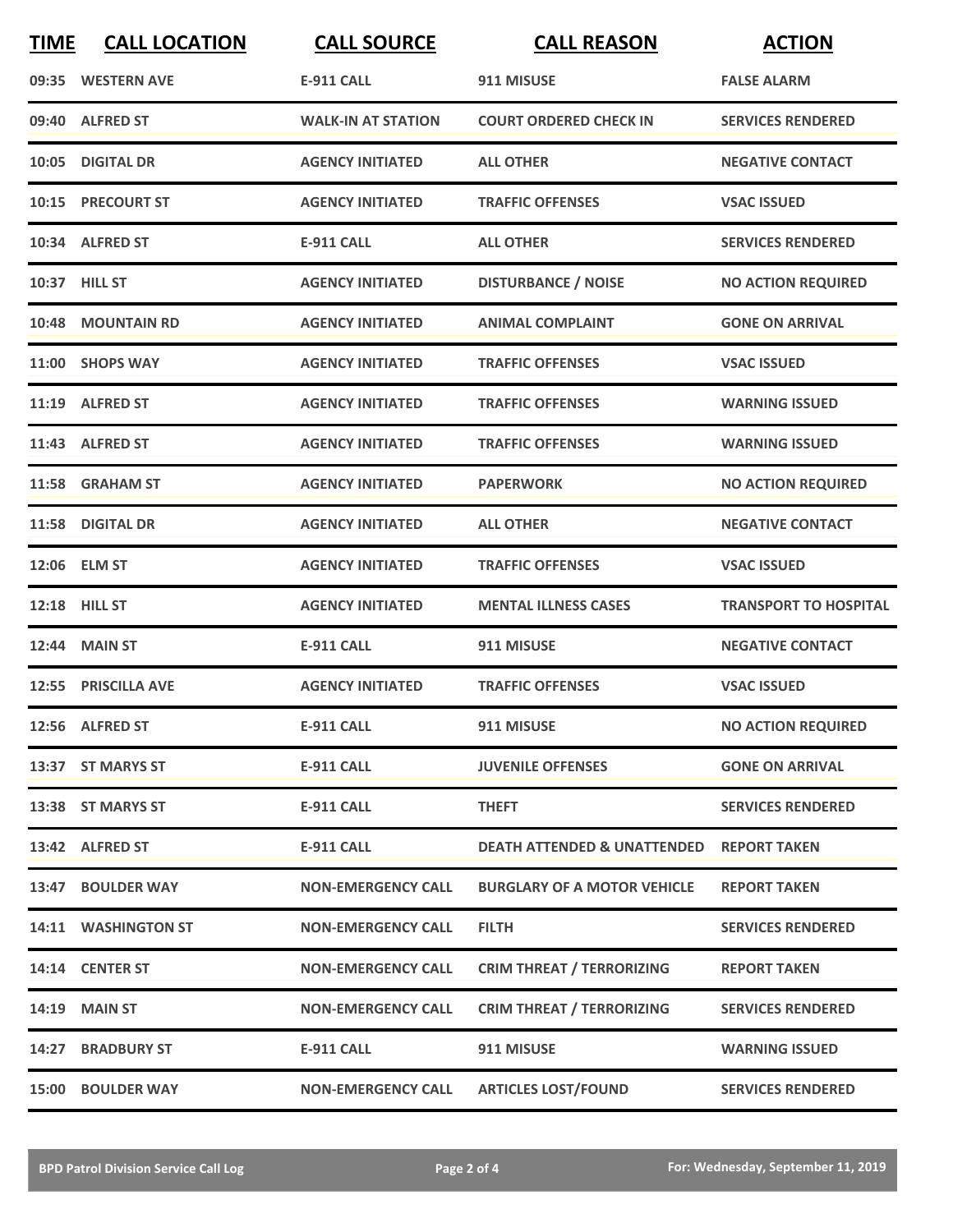| <b>TIME</b> | <b>CALL LOCATION</b> | <b>CALL SOURCE</b>        | <b>CALL REASON</b>                     | <b>ACTION</b>                |
|-------------|----------------------|---------------------------|----------------------------------------|------------------------------|
|             | 09:35 WESTERN AVE    | <b>E-911 CALL</b>         | 911 MISUSE                             | <b>FALSE ALARM</b>           |
|             | 09:40 ALFRED ST      | <b>WALK-IN AT STATION</b> | <b>COURT ORDERED CHECK IN</b>          | <b>SERVICES RENDERED</b>     |
|             | 10:05 DIGITAL DR     | <b>AGENCY INITIATED</b>   | <b>ALL OTHER</b>                       | <b>NEGATIVE CONTACT</b>      |
|             | 10:15 PRECOURT ST    | <b>AGENCY INITIATED</b>   | <b>TRAFFIC OFFENSES</b>                | <b>VSAC ISSUED</b>           |
|             | 10:34 ALFRED ST      | <b>E-911 CALL</b>         | <b>ALL OTHER</b>                       | <b>SERVICES RENDERED</b>     |
|             | 10:37 HILL ST        | <b>AGENCY INITIATED</b>   | <b>DISTURBANCE / NOISE</b>             | <b>NO ACTION REQUIRED</b>    |
|             | 10:48 MOUNTAIN RD    | <b>AGENCY INITIATED</b>   | <b>ANIMAL COMPLAINT</b>                | <b>GONE ON ARRIVAL</b>       |
|             | 11:00 SHOPS WAY      | <b>AGENCY INITIATED</b>   | <b>TRAFFIC OFFENSES</b>                | <b>VSAC ISSUED</b>           |
|             | 11:19 ALFRED ST      | <b>AGENCY INITIATED</b>   | <b>TRAFFIC OFFENSES</b>                | <b>WARNING ISSUED</b>        |
|             | 11:43 ALFRED ST      | <b>AGENCY INITIATED</b>   | <b>TRAFFIC OFFENSES</b>                | <b>WARNING ISSUED</b>        |
|             | 11:58 GRAHAM ST      | <b>AGENCY INITIATED</b>   | <b>PAPERWORK</b>                       | <b>NO ACTION REQUIRED</b>    |
|             | 11:58 DIGITAL DR     | <b>AGENCY INITIATED</b>   | <b>ALL OTHER</b>                       | <b>NEGATIVE CONTACT</b>      |
|             | 12:06 ELM ST         | <b>AGENCY INITIATED</b>   | <b>TRAFFIC OFFENSES</b>                | <b>VSAC ISSUED</b>           |
|             | 12:18 HILL ST        | <b>AGENCY INITIATED</b>   | <b>MENTAL ILLNESS CASES</b>            | <b>TRANSPORT TO HOSPITAL</b> |
|             | 12:44 MAIN ST        | <b>E-911 CALL</b>         | 911 MISUSE                             | <b>NEGATIVE CONTACT</b>      |
|             | 12:55 PRISCILLA AVE  | <b>AGENCY INITIATED</b>   | <b>TRAFFIC OFFENSES</b>                | <b>VSAC ISSUED</b>           |
|             | 12:56 ALFRED ST      | <b>E-911 CALL</b>         | 911 MISUSE                             | <b>NO ACTION REQUIRED</b>    |
|             | 13:37 ST MARYS ST    | <b>E-911 CALL</b>         | <b>JUVENILE OFFENSES</b>               | <b>GONE ON ARRIVAL</b>       |
|             | 13:38 ST MARYS ST    | <b>E-911 CALL</b>         | <b>THEFT</b>                           | <b>SERVICES RENDERED</b>     |
|             | 13:42 ALFRED ST      | <b>E-911 CALL</b>         | <b>DEATH ATTENDED &amp; UNATTENDED</b> | <b>REPORT TAKEN</b>          |
|             | 13:47 BOULDER WAY    | <b>NON-EMERGENCY CALL</b> | <b>BURGLARY OF A MOTOR VEHICLE</b>     | <b>REPORT TAKEN</b>          |
|             | 14:11 WASHINGTON ST  | <b>NON-EMERGENCY CALL</b> | <b>FILTH</b>                           | <b>SERVICES RENDERED</b>     |
|             | 14:14 CENTER ST      | <b>NON-EMERGENCY CALL</b> | <b>CRIM THREAT / TERRORIZING</b>       | <b>REPORT TAKEN</b>          |
|             | <b>14:19 MAIN ST</b> | <b>NON-EMERGENCY CALL</b> | <b>CRIM THREAT / TERRORIZING</b>       | <b>SERVICES RENDERED</b>     |
|             | 14:27 BRADBURY ST    | <b>E-911 CALL</b>         | 911 MISUSE                             | <b>WARNING ISSUED</b>        |
|             | 15:00 BOULDER WAY    | <b>NON-EMERGENCY CALL</b> | <b>ARTICLES LOST/FOUND</b>             | <b>SERVICES RENDERED</b>     |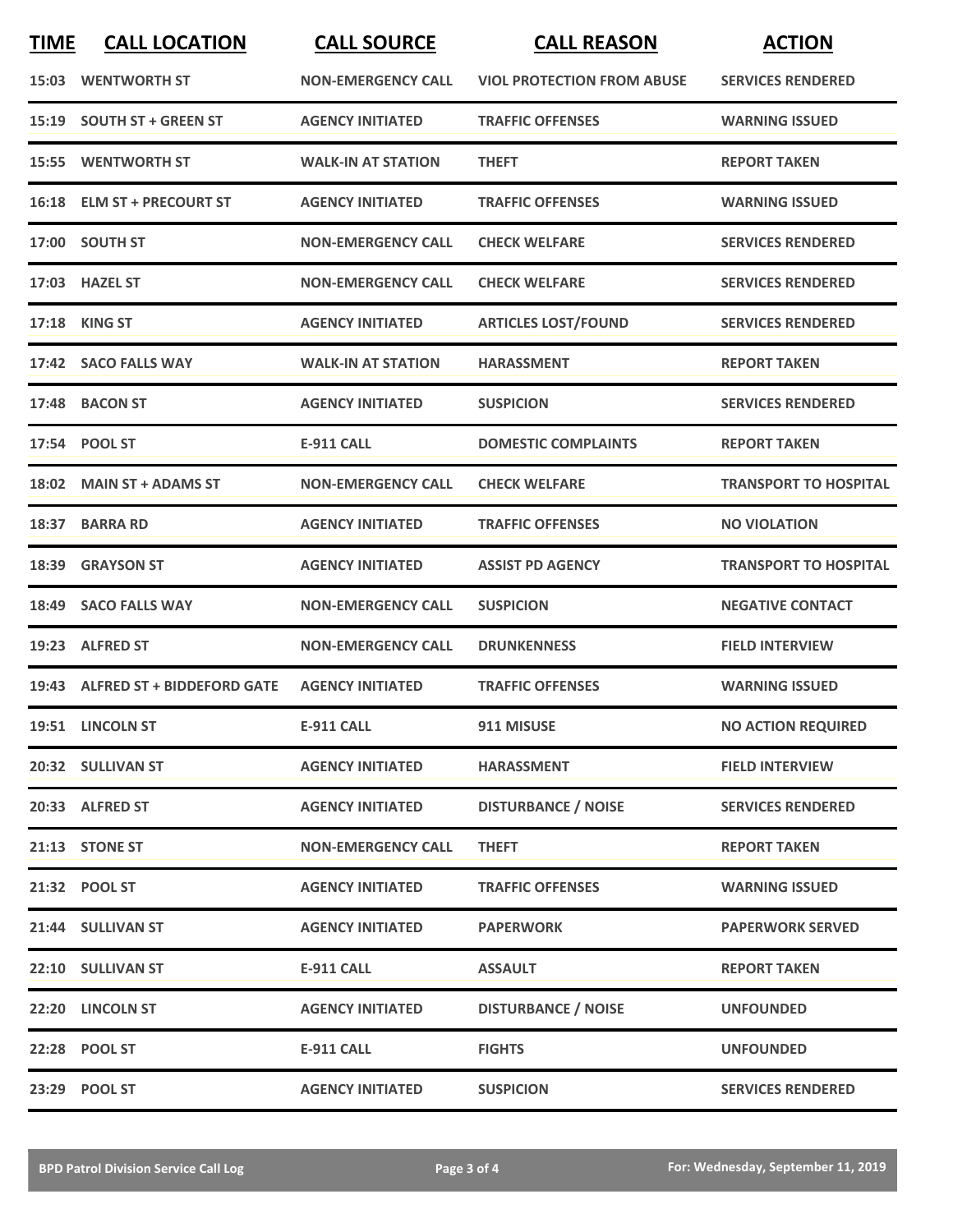| <b>TIME</b> | <b>CALL LOCATION</b>             | <b>CALL SOURCE</b>        | <b>CALL REASON</b>                | <b>ACTION</b>                |
|-------------|----------------------------------|---------------------------|-----------------------------------|------------------------------|
|             | <b>15:03 WENTWORTH ST</b>        | <b>NON-EMERGENCY CALL</b> | <b>VIOL PROTECTION FROM ABUSE</b> | <b>SERVICES RENDERED</b>     |
|             | 15:19 SOUTH ST + GREEN ST        | <b>AGENCY INITIATED</b>   | <b>TRAFFIC OFFENSES</b>           | <b>WARNING ISSUED</b>        |
|             | <b>15:55 WENTWORTH ST</b>        | <b>WALK-IN AT STATION</b> | <b>THEFT</b>                      | <b>REPORT TAKEN</b>          |
|             | 16:18 ELM ST + PRECOURT ST       | <b>AGENCY INITIATED</b>   | <b>TRAFFIC OFFENSES</b>           | <b>WARNING ISSUED</b>        |
|             | 17:00 SOUTH ST                   | <b>NON-EMERGENCY CALL</b> | <b>CHECK WELFARE</b>              | <b>SERVICES RENDERED</b>     |
|             | 17:03 HAZEL ST                   | <b>NON-EMERGENCY CALL</b> | <b>CHECK WELFARE</b>              | <b>SERVICES RENDERED</b>     |
|             | 17:18 KING ST                    | <b>AGENCY INITIATED</b>   | <b>ARTICLES LOST/FOUND</b>        | <b>SERVICES RENDERED</b>     |
|             | 17:42 SACO FALLS WAY             | <b>WALK-IN AT STATION</b> | <b>HARASSMENT</b>                 | <b>REPORT TAKEN</b>          |
|             | 17:48 BACON ST                   | <b>AGENCY INITIATED</b>   | <b>SUSPICION</b>                  | <b>SERVICES RENDERED</b>     |
|             | 17:54 POOL ST                    | <b>E-911 CALL</b>         | <b>DOMESTIC COMPLAINTS</b>        | <b>REPORT TAKEN</b>          |
|             | 18:02 MAIN ST + ADAMS ST         | <b>NON-EMERGENCY CALL</b> | <b>CHECK WELFARE</b>              | <b>TRANSPORT TO HOSPITAL</b> |
|             | 18:37 BARRA RD                   | <b>AGENCY INITIATED</b>   | <b>TRAFFIC OFFENSES</b>           | <b>NO VIOLATION</b>          |
| 18:39       | <b>GRAYSON ST</b>                | <b>AGENCY INITIATED</b>   | <b>ASSIST PD AGENCY</b>           | <b>TRANSPORT TO HOSPITAL</b> |
| 18:49       | <b>SACO FALLS WAY</b>            | <b>NON-EMERGENCY CALL</b> | <b>SUSPICION</b>                  | <b>NEGATIVE CONTACT</b>      |
| 19:23       | <b>ALFRED ST</b>                 | <b>NON-EMERGENCY CALL</b> | <b>DRUNKENNESS</b>                | <b>FIELD INTERVIEW</b>       |
|             | 19:43 ALFRED ST + BIDDEFORD GATE | <b>AGENCY INITIATED</b>   | <b>TRAFFIC OFFENSES</b>           | <b>WARNING ISSUED</b>        |
|             | 19:51 LINCOLN ST                 | <b>E-911 CALL</b>         | 911 MISUSE                        | <b>NO ACTION REQUIRED</b>    |
|             | 20:32 SULLIVAN ST                | <b>AGENCY INITIATED</b>   | <b>HARASSMENT</b>                 | <b>FIELD INTERVIEW</b>       |
|             | 20:33 ALFRED ST                  | <b>AGENCY INITIATED</b>   | <b>DISTURBANCE / NOISE</b>        | <b>SERVICES RENDERED</b>     |
|             | 21:13 STONE ST                   | <b>NON-EMERGENCY CALL</b> | <b>THEFT</b>                      | <b>REPORT TAKEN</b>          |
|             | 21:32 POOL ST                    | <b>AGENCY INITIATED</b>   | <b>TRAFFIC OFFENSES</b>           | <b>WARNING ISSUED</b>        |
|             | 21:44 SULLIVAN ST                | <b>AGENCY INITIATED</b>   | <b>PAPERWORK</b>                  | <b>PAPERWORK SERVED</b>      |
|             | 22:10 SULLIVAN ST                | <b>E-911 CALL</b>         | ASSAULT                           | <b>REPORT TAKEN</b>          |
|             | 22:20 LINCOLN ST                 | <b>AGENCY INITIATED</b>   | <b>DISTURBANCE / NOISE</b>        | <b>UNFOUNDED</b>             |
|             | 22:28 POOL ST                    | <b>E-911 CALL</b>         | <b>FIGHTS</b>                     | <b>UNFOUNDED</b>             |
|             | 23:29 POOL ST                    | <b>AGENCY INITIATED</b>   | <b>SUSPICION</b>                  | <b>SERVICES RENDERED</b>     |